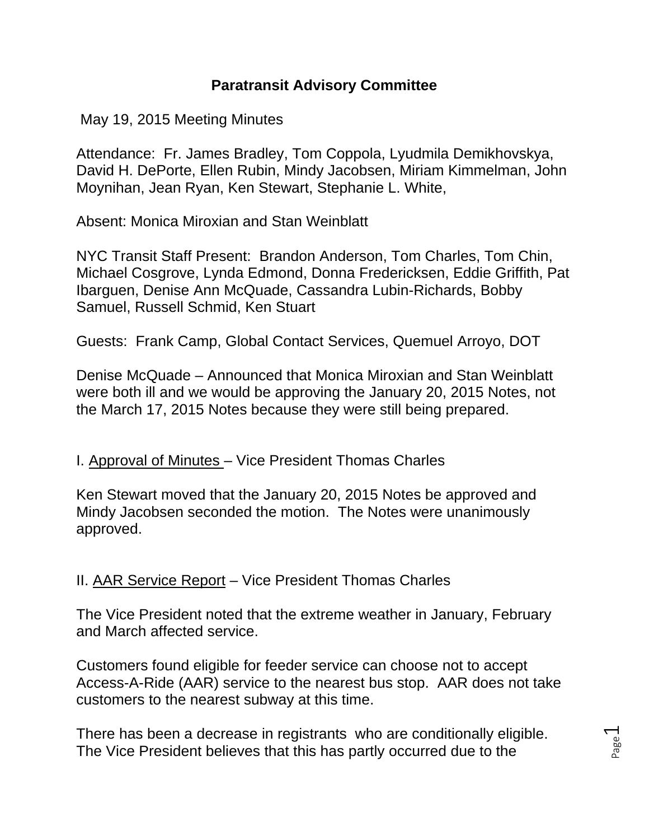## **Paratransit Advisory Committee**

May 19, 2015 Meeting Minutes

Attendance: Fr. James Bradley, Tom Coppola, Lyudmila Demikhovskya, David H. DePorte, Ellen Rubin, Mindy Jacobsen, Miriam Kimmelman, John Moynihan, Jean Ryan, Ken Stewart, Stephanie L. White,

Absent: Monica Miroxian and Stan Weinblatt

NYC Transit Staff Present: Brandon Anderson, Tom Charles, Tom Chin, Michael Cosgrove, Lynda Edmond, Donna Fredericksen, Eddie Griffith, Pat Ibarguen, Denise Ann McQuade, Cassandra Lubin-Richards, Bobby Samuel, Russell Schmid, Ken Stuart

Guests: Frank Camp, Global Contact Services, Quemuel Arroyo, DOT

Denise McQuade – Announced that Monica Miroxian and Stan Weinblatt were both ill and we would be approving the January 20, 2015 Notes, not the March 17, 2015 Notes because they were still being prepared.

## I. Approval of Minutes – Vice President Thomas Charles

Ken Stewart moved that the January 20, 2015 Notes be approved and Mindy Jacobsen seconded the motion. The Notes were unanimously approved.

II. AAR Service Report – Vice President Thomas Charles

The Vice President noted that the extreme weather in January, February and March affected service.

Customers found eligible for feeder service can choose not to accept Access-A-Ride (AAR) service to the nearest bus stop. AAR does not take customers to the nearest subway at this time.

There has been a decrease in registrants who are conditionally eligible. The Vice President believes that this has partly occurred due to the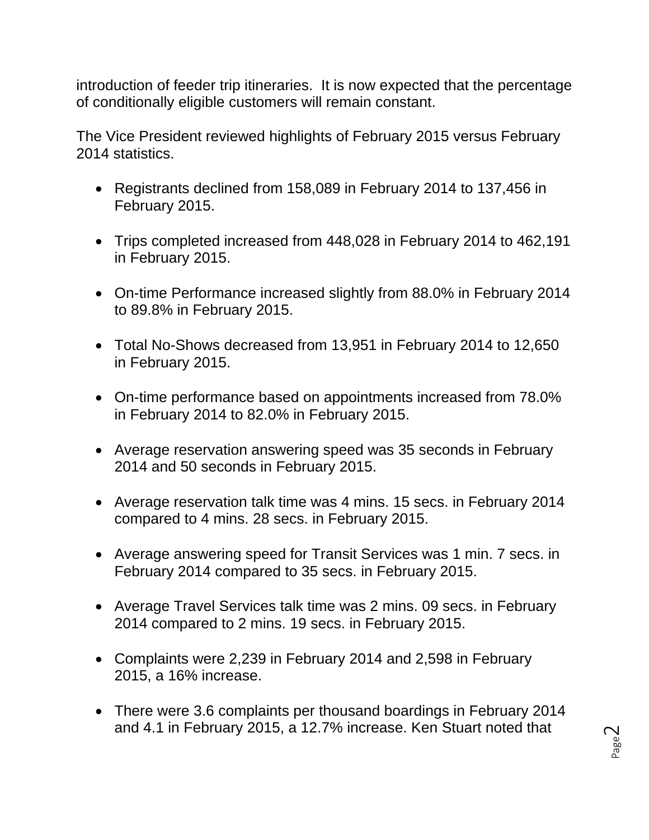introduction of feeder trip itineraries. It is now expected that the percentage of conditionally eligible customers will remain constant.

The Vice President reviewed highlights of February 2015 versus February 2014 statistics.

- Registrants declined from 158,089 in February 2014 to 137,456 in February 2015.
- Trips completed increased from 448,028 in February 2014 to 462,191 in February 2015.
- On-time Performance increased slightly from 88.0% in February 2014 to 89.8% in February 2015.
- Total No-Shows decreased from 13,951 in February 2014 to 12,650 in February 2015.
- On-time performance based on appointments increased from 78.0% in February 2014 to 82.0% in February 2015.
- Average reservation answering speed was 35 seconds in February 2014 and 50 seconds in February 2015.
- Average reservation talk time was 4 mins. 15 secs. in February 2014 compared to 4 mins. 28 secs. in February 2015.
- Average answering speed for Transit Services was 1 min. 7 secs. in February 2014 compared to 35 secs. in February 2015.
- Average Travel Services talk time was 2 mins. 09 secs. in February 2014 compared to 2 mins. 19 secs. in February 2015.
- Complaints were 2,239 in February 2014 and 2,598 in February 2015, a 16% increase.
- There were 3.6 complaints per thousand boardings in February 2014 and 4.1 in February 2015, a 12.7% increase. Ken Stuart noted that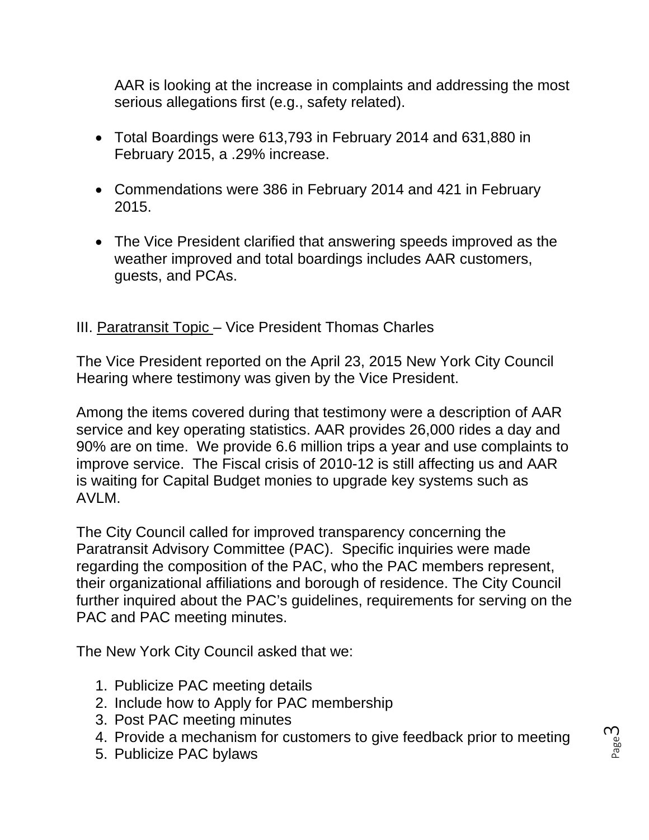AAR is looking at the increase in complaints and addressing the most serious allegations first (e.g., safety related).

- Total Boardings were 613,793 in February 2014 and 631,880 in February 2015, a .29% increase.
- Commendations were 386 in February 2014 and 421 in February 2015.
- The Vice President clarified that answering speeds improved as the weather improved and total boardings includes AAR customers, guests, and PCAs.

## III. Paratransit Topic – Vice President Thomas Charles

The Vice President reported on the April 23, 2015 New York City Council Hearing where testimony was given by the Vice President.

Among the items covered during that testimony were a description of AAR service and key operating statistics. AAR provides 26,000 rides a day and 90% are on time. We provide 6.6 million trips a year and use complaints to improve service. The Fiscal crisis of 2010-12 is still affecting us and AAR is waiting for Capital Budget monies to upgrade key systems such as AVLM.

The City Council called for improved transparency concerning the Paratransit Advisory Committee (PAC). Specific inquiries were made regarding the composition of the PAC, who the PAC members represent, their organizational affiliations and borough of residence. The City Council further inquired about the PAC's guidelines, requirements for serving on the PAC and PAC meeting minutes.

The New York City Council asked that we:

- 1. Publicize PAC meeting details
- 2. Include how to Apply for PAC membership
- 3. Post PAC meeting minutes
- 4. Provide a mechanism for customers to give feedback prior to meeting
- 5. Publicize PAC bylaws

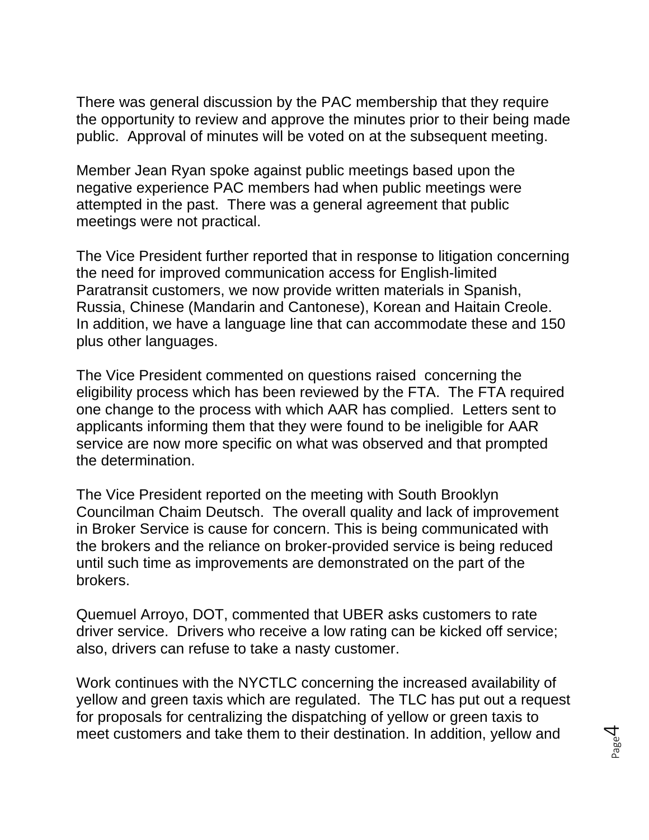There was general discussion by the PAC membership that they require the opportunity to review and approve the minutes prior to their being made public. Approval of minutes will be voted on at the subsequent meeting.

Member Jean Ryan spoke against public meetings based upon the negative experience PAC members had when public meetings were attempted in the past. There was a general agreement that public meetings were not practical.

The Vice President further reported that in response to litigation concerning the need for improved communication access for English-limited Paratransit customers, we now provide written materials in Spanish, Russia, Chinese (Mandarin and Cantonese), Korean and Haitain Creole. In addition, we have a language line that can accommodate these and 150 plus other languages.

The Vice President commented on questions raised concerning the eligibility process which has been reviewed by the FTA. The FTA required one change to the process with which AAR has complied. Letters sent to applicants informing them that they were found to be ineligible for AAR service are now more specific on what was observed and that prompted the determination.

The Vice President reported on the meeting with South Brooklyn Councilman Chaim Deutsch. The overall quality and lack of improvement in Broker Service is cause for concern. This is being communicated with the brokers and the reliance on broker-provided service is being reduced until such time as improvements are demonstrated on the part of the brokers.

Quemuel Arroyo, DOT, commented that UBER asks customers to rate driver service. Drivers who receive a low rating can be kicked off service; also, drivers can refuse to take a nasty customer.

Work continues with the NYCTLC concerning the increased availability of yellow and green taxis which are regulated. The TLC has put out a request for proposals for centralizing the dispatching of yellow or green taxis to meet customers and take them to their destination. In addition, yellow and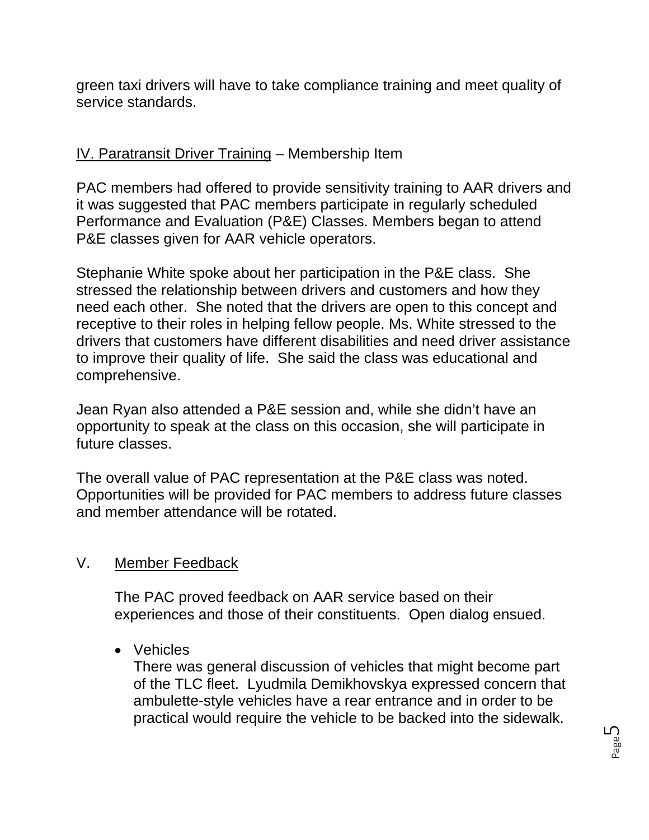green taxi drivers will have to take compliance training and meet quality of service standards.

# IV. Paratransit Driver Training – Membership Item

PAC members had offered to provide sensitivity training to AAR drivers and it was suggested that PAC members participate in regularly scheduled Performance and Evaluation (P&E) Classes. Members began to attend P&E classes given for AAR vehicle operators.

Stephanie White spoke about her participation in the P&E class. She stressed the relationship between drivers and customers and how they need each other. She noted that the drivers are open to this concept and receptive to their roles in helping fellow people. Ms. White stressed to the drivers that customers have different disabilities and need driver assistance to improve their quality of life. She said the class was educational and comprehensive.

Jean Ryan also attended a P&E session and, while she didn't have an opportunity to speak at the class on this occasion, she will participate in future classes.

The overall value of PAC representation at the P&E class was noted. Opportunities will be provided for PAC members to address future classes and member attendance will be rotated.

# V. Member Feedback

The PAC proved feedback on AAR service based on their experiences and those of their constituents. Open dialog ensued.

Vehicles

There was general discussion of vehicles that might become part of the TLC fleet. Lyudmila Demikhovskya expressed concern that ambulette-style vehicles have a rear entrance and in order to be practical would require the vehicle to be backed into the sidewalk.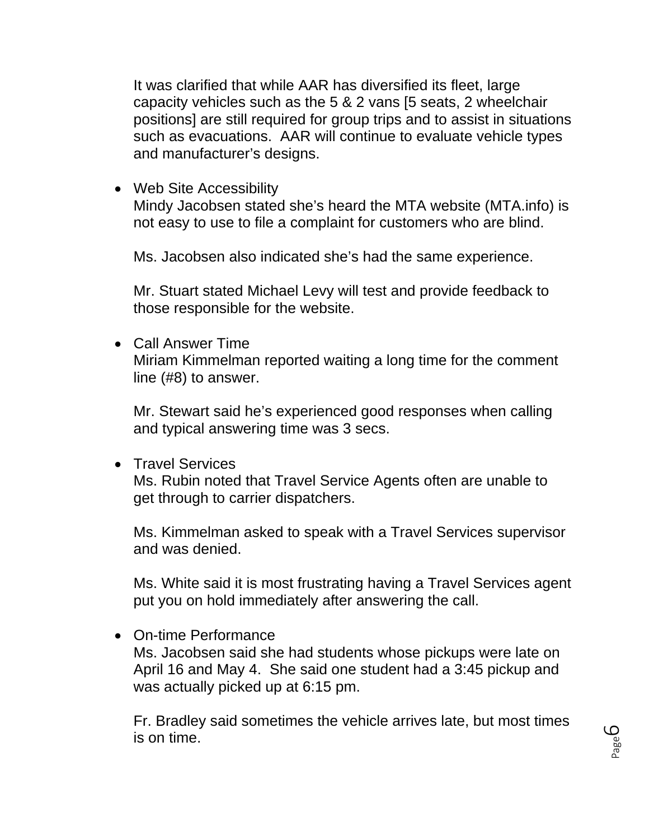It was clarified that while AAR has diversified its fleet, large capacity vehicles such as the 5 & 2 vans [5 seats, 2 wheelchair positions] are still required for group trips and to assist in situations such as evacuations. AAR will continue to evaluate vehicle types and manufacturer's designs.

• Web Site Accessibility

Mindy Jacobsen stated she's heard the MTA website (MTA.info) is not easy to use to file a complaint for customers who are blind.

Ms. Jacobsen also indicated she's had the same experience.

Mr. Stuart stated Michael Levy will test and provide feedback to those responsible for the website.

 Call Answer Time Miriam Kimmelman reported waiting a long time for the comment line (#8) to answer.

Mr. Stewart said he's experienced good responses when calling and typical answering time was 3 secs.

**•** Travel Services

Ms. Rubin noted that Travel Service Agents often are unable to get through to carrier dispatchers.

Ms. Kimmelman asked to speak with a Travel Services supervisor and was denied.

Ms. White said it is most frustrating having a Travel Services agent put you on hold immediately after answering the call.

On-time Performance

Ms. Jacobsen said she had students whose pickups were late on April 16 and May 4. She said one student had a 3:45 pickup and was actually picked up at 6:15 pm.

Fr. Bradley said sometimes the vehicle arrives late, but most times is on time.